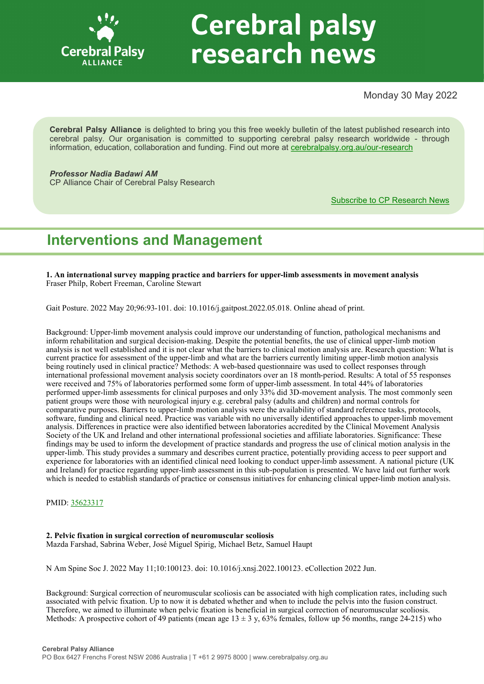

# **Cerebral palsy** research news

Monday 30 May 2022

**Cerebral Palsy Alliance** is delighted to bring you this free weekly bulletin of the latest published research into cerebral palsy. Our organisation is committed to supporting cerebral palsy research worldwide - through information, education, collaboration and funding. Find out more at [cerebralpalsy.org.au/our](https://cerebralpalsy.org.au/our-research/)-research

*Professor Nadia Badawi AM* CP Alliance Chair of Cerebral Palsy Research

[Subscribe to CP Research News](https://cerebralpalsy.org.au/our-research/get-involved-research/cp-research-newsletters/)

# **Interventions and Management**

**1. An international survey mapping practice and barriers for upper-limb assessments in movement analysis** Fraser Philp, Robert Freeman, Caroline Stewart

Gait Posture. 2022 May 20;96:93-101. doi: 10.1016/j.gaitpost.2022.05.018. Online ahead of print.

Background: Upper-limb movement analysis could improve our understanding of function, pathological mechanisms and inform rehabilitation and surgical decision-making. Despite the potential benefits, the use of clinical upper-limb motion analysis is not well established and it is not clear what the barriers to clinical motion analysis are. Research question: What is current practice for assessment of the upper-limb and what are the barriers currently limiting upper-limb motion analysis being routinely used in clinical practice? Methods: A web-based questionnaire was used to collect responses through international professional movement analysis society coordinators over an 18 month-period. Results: A total of 55 responses were received and 75% of laboratories performed some form of upper-limb assessment. In total 44% of laboratories performed upper-limb assessments for clinical purposes and only 33% did 3D-movement analysis. The most commonly seen patient groups were those with neurological injury e.g. cerebral palsy (adults and children) and normal controls for comparative purposes. Barriers to upper-limb motion analysis were the availability of standard reference tasks, protocols, software, funding and clinical need. Practice was variable with no universally identified approaches to upper-limb movement analysis. Differences in practice were also identified between laboratories accredited by the Clinical Movement Analysis Society of the UK and Ireland and other international professional societies and affiliate laboratories. Significance: These findings may be used to inform the development of practice standards and progress the use of clinical motion analysis in the upper-limb. This study provides a summary and describes current practice, potentially providing access to peer support and experience for laboratories with an identified clinical need looking to conduct upper-limb assessment. A national picture (UK and Ireland) for practice regarding upper-limb assessment in this sub-population is presented. We have laid out further work which is needed to establish standards of practice or consensus initiatives for enhancing clinical upper-limb motion analysis.

PMID: [35623317](https://pubmed.ncbi.nlm.nih.gov/35623317)

#### **2. Pelvic fixation in surgical correction of neuromuscular scoliosis** Mazda Farshad, Sabrina Weber, José Miguel Spirig, Michael Betz, Samuel Haupt

N Am Spine Soc J. 2022 May 11;10:100123. doi: 10.1016/j.xnsj.2022.100123. eCollection 2022 Jun.

Background: Surgical correction of neuromuscular scoliosis can be associated with high complication rates, including such associated with pelvic fixation. Up to now it is debated whether and when to include the pelvis into the fusion construct. Therefore, we aimed to illuminate when pelvic fixation is beneficial in surgical correction of neuromuscular scoliosis. Methods: A prospective cohort of 49 patients (mean age  $13 \pm 3$  y, 63% females, follow up 56 months, range 24-215) who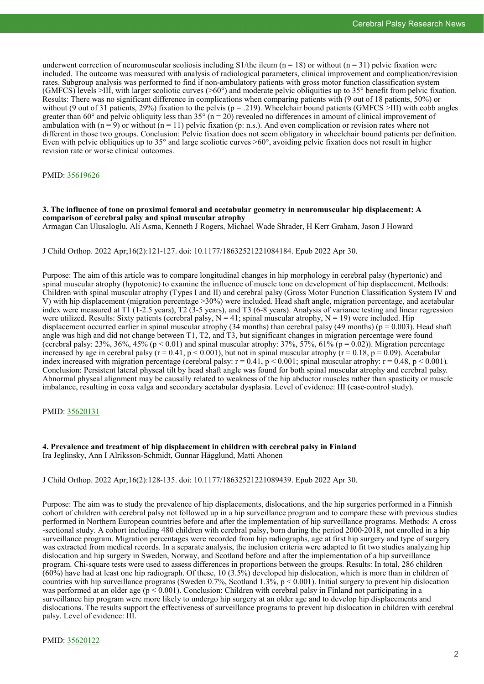underwent correction of neuromuscular scoliosis including S1/the ileum ( $n = 18$ ) or without ( $n = 31$ ) pelvic fixation were included. The outcome was measured with analysis of radiological parameters, clinical improvement and complication/revision rates. Subgroup analysis was performed to find if non-ambulatory patients with gross motor function classification system (GMFCS) levels >III, with larger scoliotic curves (>60°) and moderate pelvic obliquities up to 35° benefit from pelvic fixation. Results: There was no significant difference in complications when comparing patients with (9 out of 18 patients, 50%) or without (9 out of 31 patients, 29%) fixation to the pelvis ( $p = .219$ ). Wheelchair bound patients (GMFCS >III) with cobb angles greater than 60° and pelvic obliquity less than  $35^\circ$  (n = 20) revealed no differences in amount of clinical improvement of ambulation with  $(n = 9)$  or without  $(n = 11)$  pelvic fixation (p: n.s.). And even complication or revision rates where not different in those two groups. Conclusion: Pelvic fixation does not seem obligatory in wheelchair bound patients per definition. Even with pelvic obliquities up to 35° and large scoliotic curves >60°, avoiding pelvic fixation does not result in higher revision rate or worse clinical outcomes.

#### PMID: [35619626](https://pubmed.ncbi.nlm.nih.gov/35619626)

#### **3. The influence of tone on proximal femoral and acetabular geometry in neuromuscular hip displacement: A comparison of cerebral palsy and spinal muscular atrophy**

Armagan Can Ulusaloglu, Ali Asma, Kenneth J Rogers, Michael Wade Shrader, H Kerr Graham, Jason J Howard

J Child Orthop. 2022 Apr;16(2):121-127. doi: 10.1177/18632521221084184. Epub 2022 Apr 30.

Purpose: The aim of this article was to compare longitudinal changes in hip morphology in cerebral palsy (hypertonic) and spinal muscular atrophy (hypotonic) to examine the influence of muscle tone on development of hip displacement. Methods: Children with spinal muscular atrophy (Types I and II) and cerebral palsy (Gross Motor Function Classification System IV and V) with hip displacement (migration percentage >30%) were included. Head shaft angle, migration percentage, and acetabular index were measured at T1 (1-2.5 years), T2 (3-5 years), and T3 (6-8 years). Analysis of variance testing and linear regression were utilized. Results: Sixty patients (cerebral palsy,  $N = 41$ ; spinal muscular atrophy,  $N = 19$ ) were included. Hip displacement occurred earlier in spinal muscular atrophy (34 months) than cerebral palsy (49 months) ( $p = 0.003$ ). Head shaft angle was high and did not change between T1, T2, and T3, but significant changes in migration percentage were found (cerebral palsy: 23%, 36%, 45% (p < 0.01) and spinal muscular atrophy: 37%, 57%, 61% (p = 0.02)). Migration percentage increased by age in cerebral palsy  $(r = 0.41, p < 0.001)$ , but not in spinal muscular atrophy  $(r = 0.18, p = 0.09)$ . Acetabular index increased with migration percentage (cerebral palsy:  $r = 0.41$ ,  $p < 0.001$ ; spinal muscular atrophy:  $r = 0.48$ ,  $p < 0.001$ ). Conclusion: Persistent lateral physeal tilt by head shaft angle was found for both spinal muscular atrophy and cerebral palsy. Abnormal physeal alignment may be causally related to weakness of the hip abductor muscles rather than spasticity or muscle imbalance, resulting in coxa valga and secondary acetabular dysplasia. Level of evidence: III (case-control study).

#### PMID: [35620131](https://pubmed.ncbi.nlm.nih.gov/35620131)

**4. Prevalence and treatment of hip displacement in children with cerebral palsy in Finland** Ira Jeglinsky, Ann I Alriksson-Schmidt, Gunnar Hägglund, Matti Ahonen

J Child Orthop. 2022 Apr;16(2):128-135. doi: 10.1177/18632521221089439. Epub 2022 Apr 30.

Purpose: The aim was to study the prevalence of hip displacements, dislocations, and the hip surgeries performed in a Finnish cohort of children with cerebral palsy not followed up in a hip surveillance program and to compare these with previous studies performed in Northern European countries before and after the implementation of hip surveillance programs. Methods: A cross -sectional study. A cohort including 480 children with cerebral palsy, born during the period 2000-2018, not enrolled in a hip surveillance program. Migration percentages were recorded from hip radiographs, age at first hip surgery and type of surgery was extracted from medical records. In a separate analysis, the inclusion criteria were adapted to fit two studies analyzing hip dislocation and hip surgery in Sweden, Norway, and Scotland before and after the implementation of a hip surveillance program. Chi-square tests were used to assess differences in proportions between the groups. Results: In total, 286 children  $(60\%)$  have had at least one hip radiograph. Of these, 10 (3.5%) developed hip dislocation, which is more than in children of countries with hip surveillance programs (Sweden 0.7%, Scotland 1.3%,  $p < 0.001$ ). Initial surgery to prevent hip dislocation was performed at an older age  $(p < 0.001)$ . Conclusion: Children with cerebral palsy in Finland not participating in a surveillance hip program were more likely to undergo hip surgery at an older age and to develop hip displacements and dislocations. The results support the effectiveness of surveillance programs to prevent hip dislocation in children with cerebral palsy. Level of evidence: III.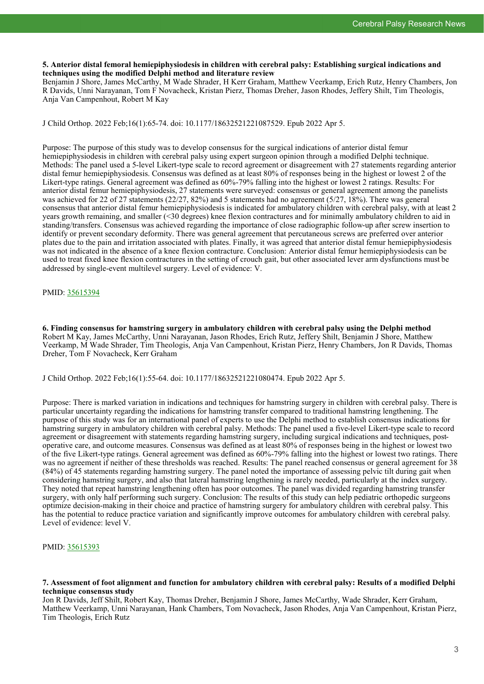#### **5. Anterior distal femoral hemiepiphysiodesis in children with cerebral palsy: Establishing surgical indications and techniques using the modified Delphi method and literature review**

Benjamin J Shore, James McCarthy, M Wade Shrader, H Kerr Graham, Matthew Veerkamp, Erich Rutz, Henry Chambers, Jon R Davids, Unni Narayanan, Tom F Novacheck, Kristan Pierz, Thomas Dreher, Jason Rhodes, Jeffery Shilt, Tim Theologis, Anja Van Campenhout, Robert M Kay

J Child Orthop. 2022 Feb;16(1):65-74. doi: 10.1177/18632521221087529. Epub 2022 Apr 5.

Purpose: The purpose of this study was to develop consensus for the surgical indications of anterior distal femur hemiepiphysiodesis in children with cerebral palsy using expert surgeon opinion through a modified Delphi technique. Methods: The panel used a 5-level Likert-type scale to record agreement or disagreement with 27 statements regarding anterior distal femur hemiepiphysiodesis. Consensus was defined as at least 80% of responses being in the highest or lowest 2 of the Likert-type ratings. General agreement was defined as 60%-79% falling into the highest or lowest 2 ratings. Results: For anterior distal femur hemiepiphysiodesis, 27 statements were surveyed: consensus or general agreement among the panelists was achieved for 22 of 27 statements (22/27, 82%) and 5 statements had no agreement (5/27, 18%). There was general consensus that anterior distal femur hemiepiphysiodesis is indicated for ambulatory children with cerebral palsy, with at least 2 years growth remaining, and smaller (<30 degrees) knee flexion contractures and for minimally ambulatory children to aid in standing/transfers. Consensus was achieved regarding the importance of close radiographic follow-up after screw insertion to identify or prevent secondary deformity. There was general agreement that percutaneous screws are preferred over anterior plates due to the pain and irritation associated with plates. Finally, it was agreed that anterior distal femur hemiepiphysiodesis was not indicated in the absence of a knee flexion contracture. Conclusion: Anterior distal femur hemiepiphysiodesis can be used to treat fixed knee flexion contractures in the setting of crouch gait, but other associated lever arm dysfunctions must be addressed by single-event multilevel surgery. Level of evidence: V.

#### PMID: [35615394](https://pubmed.ncbi.nlm.nih.gov/35615394)

**6. Finding consensus for hamstring surgery in ambulatory children with cerebral palsy using the Delphi method** Robert M Kay, James McCarthy, Unni Narayanan, Jason Rhodes, Erich Rutz, Jeffery Shilt, Benjamin J Shore, Matthew Veerkamp, M Wade Shrader, Tim Theologis, Anja Van Campenhout, Kristan Pierz, Henry Chambers, Jon R Davids, Thomas Dreher, Tom F Novacheck, Kerr Graham

J Child Orthop. 2022 Feb;16(1):55-64. doi: 10.1177/18632521221080474. Epub 2022 Apr 5.

Purpose: There is marked variation in indications and techniques for hamstring surgery in children with cerebral palsy. There is particular uncertainty regarding the indications for hamstring transfer compared to traditional hamstring lengthening. The purpose of this study was for an international panel of experts to use the Delphi method to establish consensus indications for hamstring surgery in ambulatory children with cerebral palsy. Methods: The panel used a five-level Likert-type scale to record agreement or disagreement with statements regarding hamstring surgery, including surgical indications and techniques, postoperative care, and outcome measures. Consensus was defined as at least 80% of responses being in the highest or lowest two of the five Likert-type ratings. General agreement was defined as 60%-79% falling into the highest or lowest two ratings. There was no agreement if neither of these thresholds was reached. Results: The panel reached consensus or general agreement for 38 (84%) of 45 statements regarding hamstring surgery. The panel noted the importance of assessing pelvic tilt during gait when considering hamstring surgery, and also that lateral hamstring lengthening is rarely needed, particularly at the index surgery. They noted that repeat hamstring lengthening often has poor outcomes. The panel was divided regarding hamstring transfer surgery, with only half performing such surgery. Conclusion: The results of this study can help pediatric orthopedic surgeons optimize decision-making in their choice and practice of hamstring surgery for ambulatory children with cerebral palsy. This has the potential to reduce practice variation and significantly improve outcomes for ambulatory children with cerebral palsy. Level of evidence: level V.

PMID: [35615393](https://pubmed.ncbi.nlm.nih.gov/35615393)

#### **7. Assessment of foot alignment and function for ambulatory children with cerebral palsy: Results of a modified Delphi technique consensus study**

Jon R Davids, Jeff Shilt, Robert Kay, Thomas Dreher, Benjamin J Shore, James McCarthy, Wade Shrader, Kerr Graham, Matthew Veerkamp, Unni Narayanan, Hank Chambers, Tom Novacheck, Jason Rhodes, Anja Van Campenhout, Kristan Pierz, Tim Theologis, Erich Rutz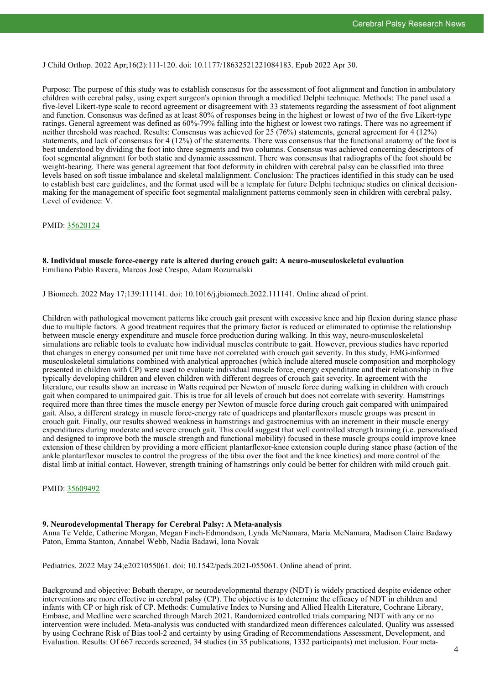#### J Child Orthop. 2022 Apr;16(2):111-120. doi: 10.1177/18632521221084183. Epub 2022 Apr 30.

Purpose: The purpose of this study was to establish consensus for the assessment of foot alignment and function in ambulatory children with cerebral palsy, using expert surgeon's opinion through a modified Delphi technique. Methods: The panel used a five-level Likert-type scale to record agreement or disagreement with 33 statements regarding the assessment of foot alignment and function. Consensus was defined as at least 80% of responses being in the highest or lowest of two of the five Likert-type ratings. General agreement was defined as 60%-79% falling into the highest or lowest two ratings. There was no agreement if neither threshold was reached. Results: Consensus was achieved for 25 (76%) statements, general agreement for 4 (12%) statements, and lack of consensus for 4 (12%) of the statements. There was consensus that the functional anatomy of the foot is best understood by dividing the foot into three segments and two columns. Consensus was achieved concerning descriptors of foot segmental alignment for both static and dynamic assessment. There was consensus that radiographs of the foot should be weight-bearing. There was general agreement that foot deformity in children with cerebral palsy can be classified into three levels based on soft tissue imbalance and skeletal malalignment. Conclusion: The practices identified in this study can be used to establish best care guidelines, and the format used will be a template for future Delphi technique studies on clinical decisionmaking for the management of specific foot segmental malalignment patterns commonly seen in children with cerebral palsy. Level of evidence: V.

#### PMID: [35620124](https://pubmed.ncbi.nlm.nih.gov/35620124)

#### **8. Individual muscle force-energy rate is altered during crouch gait: A neuro-musculoskeletal evaluation** Emiliano Pablo Ravera, Marcos José Crespo, Adam Rozumalski

J Biomech. 2022 May 17;139:111141. doi: 10.1016/j.jbiomech.2022.111141. Online ahead of print.

Children with pathological movement patterns like crouch gait present with excessive knee and hip flexion during stance phase due to multiple factors. A good treatment requires that the primary factor is reduced or eliminated to optimise the relationship between muscle energy expenditure and muscle force production during walking. In this way, neuro-musculoskeletal simulations are reliable tools to evaluate how individual muscles contribute to gait. However, previous studies have reported that changes in energy consumed per unit time have not correlated with crouch gait severity. In this study, EMG-informed musculoskeletal simulations combined with analytical approaches (which include altered muscle composition and morphology presented in children with CP) were used to evaluate individual muscle force, energy expenditure and their relationship in five typically developing children and eleven children with different degrees of crouch gait severity. In agreement with the literature, our results show an increase in Watts required per Newton of muscle force during walking in children with crouch gait when compared to unimpaired gait. This is true for all levels of crouch but does not correlate with severity. Hamstrings required more than three times the muscle energy per Newton of muscle force during crouch gait compared with unimpaired gait. Also, a different strategy in muscle force-energy rate of quadriceps and plantarflexors muscle groups was present in crouch gait. Finally, our results showed weakness in hamstrings and gastrocnemius with an increment in their muscle energy expenditures during moderate and severe crouch gait. This could suggest that well controlled strength training (i.e. personalised and designed to improve both the muscle strength and functional mobility) focused in these muscle groups could improve knee extension of these children by providing a more efficient plantarflexor-knee extension couple during stance phase (action of the ankle plantarflexor muscles to control the progress of the tibia over the foot and the knee kinetics) and more control of the distal limb at initial contact. However, strength training of hamstrings only could be better for children with mild crouch gait.

#### PMID: [35609492](https://pubmed.ncbi.nlm.nih.gov/35609492)

#### **9. Neurodevelopmental Therapy for Cerebral Palsy: A Meta-analysis**

Anna Te Velde, Catherine Morgan, Megan Finch-Edmondson, Lynda McNamara, Maria McNamara, Madison Claire Badawy Paton, Emma Stanton, Annabel Webb, Nadia Badawi, Iona Novak

Pediatrics. 2022 May 24;e2021055061. doi: 10.1542/peds.2021-055061. Online ahead of print.

Background and objective: Bobath therapy, or neurodevelopmental therapy (NDT) is widely practiced despite evidence other interventions are more effective in cerebral palsy (CP). The objective is to determine the efficacy of NDT in children and infants with CP or high risk of CP. Methods: Cumulative Index to Nursing and Allied Health Literature, Cochrane Library, Embase, and Medline were searched through March 2021. Randomized controlled trials comparing NDT with any or no intervention were included. Meta-analysis was conducted with standardized mean differences calculated. Quality was assessed by using Cochrane Risk of Bias tool-2 and certainty by using Grading of Recommendations Assessment, Development, and Evaluation. Results: Of 667 records screened, 34 studies (in 35 publications, 1332 participants) met inclusion. Four meta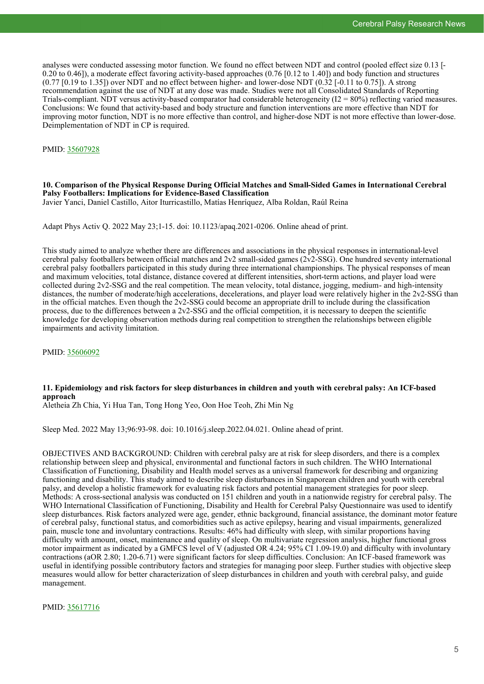analyses were conducted assessing motor function. We found no effect between NDT and control (pooled effect size 0.13 [- 0.20 to 0.46]), a moderate effect favoring activity-based approaches (0.76 [0.12 to 1.40]) and body function and structures (0.77 [0.19 to 1.35]) over NDT and no effect between higher- and lower-dose NDT (0.32 [-0.11 to 0.75]). A strong recommendation against the use of NDT at any dose was made. Studies were not all Consolidated Standards of Reporting Trials-compliant. NDT versus activity-based comparator had considerable heterogeneity  $(I2 = 80\%)$  reflecting varied measures. Conclusions: We found that activity-based and body structure and function interventions are more effective than NDT for improving motor function, NDT is no more effective than control, and higher-dose NDT is not more effective than lower-dose. Deimplementation of NDT in CP is required.

PMID: [35607928](https://pubmed.ncbi.nlm.nih.gov/35607928)

#### **10. Comparison of the Physical Response During Official Matches and Small-Sided Games in International Cerebral Palsy Footballers: Implications for Evidence-Based Classification** Javier Yanci, Daniel Castillo, Aitor Iturricastillo, Matías Henríquez, Alba Roldan, Raúl Reina

Adapt Phys Activ Q. 2022 May 23;1-15. doi: 10.1123/apaq.2021-0206. Online ahead of print.

This study aimed to analyze whether there are differences and associations in the physical responses in international-level cerebral palsy footballers between official matches and 2v2 small-sided games (2v2-SSG). One hundred seventy international cerebral palsy footballers participated in this study during three international championships. The physical responses of mean and maximum velocities, total distance, distance covered at different intensities, short-term actions, and player load were collected during 2v2-SSG and the real competition. The mean velocity, total distance, jogging, medium- and high-intensity distances, the number of moderate/high accelerations, decelerations, and player load were relatively higher in the 2v2-SSG than in the official matches. Even though the 2v2-SSG could become an appropriate drill to include during the classification process, due to the differences between a 2v2-SSG and the official competition, it is necessary to deepen the scientific knowledge for developing observation methods during real competition to strengthen the relationships between eligible impairments and activity limitation.

PMID: [35606092](https://pubmed.ncbi.nlm.nih.gov/35606092)

# **11. Epidemiology and risk factors for sleep disturbances in children and youth with cerebral palsy: An ICF-based approach**

Aletheia Zh Chia, Yi Hua Tan, Tong Hong Yeo, Oon Hoe Teoh, Zhi Min Ng

Sleep Med. 2022 May 13;96:93-98. doi: 10.1016/j.sleep.2022.04.021. Online ahead of print.

OBJECTIVES AND BACKGROUND: Children with cerebral palsy are at risk for sleep disorders, and there is a complex relationship between sleep and physical, environmental and functional factors in such children. The WHO International Classification of Functioning, Disability and Health model serves as a universal framework for describing and organizing functioning and disability. This study aimed to describe sleep disturbances in Singaporean children and youth with cerebral palsy, and develop a holistic framework for evaluating risk factors and potential management strategies for poor sleep. Methods: A cross-sectional analysis was conducted on 151 children and youth in a nationwide registry for cerebral palsy. The WHO International Classification of Functioning, Disability and Health for Cerebral Palsy Questionnaire was used to identify sleep disturbances. Risk factors analyzed were age, gender, ethnic background, financial assistance, the dominant motor feature of cerebral palsy, functional status, and comorbidities such as active epilepsy, hearing and visual impairments, generalized pain, muscle tone and involuntary contractions. Results: 46% had difficulty with sleep, with similar proportions having difficulty with amount, onset, maintenance and quality of sleep. On multivariate regression analysis, higher functional gross motor impairment as indicated by a GMFCS level of V (adjusted OR 4.24; 95% CI 1.09-19.0) and difficulty with involuntary contractions (aOR 2.80; 1.20-6.71) were significant factors for sleep difficulties. Conclusion: An ICF-based framework was useful in identifying possible contributory factors and strategies for managing poor sleep. Further studies with objective sleep measures would allow for better characterization of sleep disturbances in children and youth with cerebral palsy, and guide management.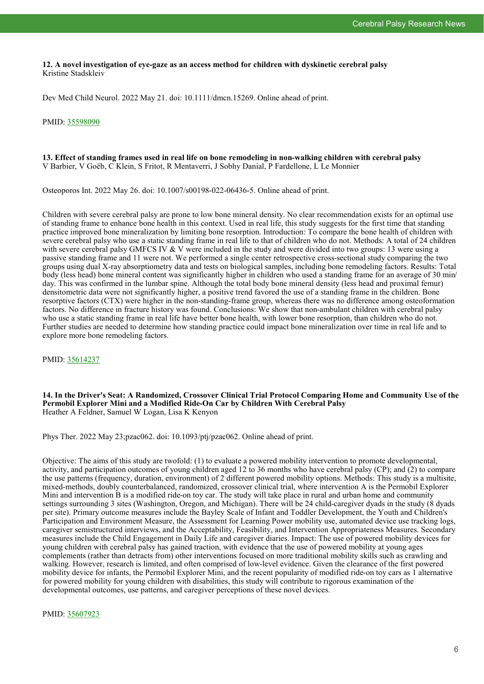**12. A novel investigation of eye-gaze as an access method for children with dyskinetic cerebral palsy** Kristine Stadskleiv

Dev Med Child Neurol. 2022 May 21. doi: 10.1111/dmcn.15269. Online ahead of print.

#### PMID: [35598090](https://pubmed.ncbi.nlm.nih.gov/35598090)

#### **13. Effect of standing frames used in real life on bone remodeling in non-walking children with cerebral palsy** V Barbier, V Goëb, C Klein, S Fritot, R Mentaverri, J Sobhy Danial, P Fardellone, L Le Monnier

Osteoporos Int. 2022 May 26. doi: 10.1007/s00198-022-06436-5. Online ahead of print.

Children with severe cerebral palsy are prone to low bone mineral density. No clear recommendation exists for an optimal use of standing frame to enhance bone health in this context. Used in real life, this study suggests for the first time that standing practice improved bone mineralization by limiting bone resorption. Introduction: To compare the bone health of children with severe cerebral palsy who use a static standing frame in real life to that of children who do not. Methods: A total of 24 children with severe cerebral palsy GMFCS IV & V were included in the study and were divided into two groups: 13 were using a passive standing frame and 11 were not. We performed a single center retrospective cross-sectional study comparing the two groups using dual X-ray absorptiometry data and tests on biological samples, including bone remodeling factors. Results: Total body (less head) bone mineral content was significantly higher in children who used a standing frame for an average of 30 min/ day. This was confirmed in the lumbar spine. Although the total body bone mineral density (less head and proximal femur) densitometric data were not significantly higher, a positive trend favored the use of a standing frame in the children. Bone resorptive factors (CTX) were higher in the non-standing-frame group, whereas there was no difference among osteoformation factors. No difference in fracture history was found. Conclusions: We show that non-ambulant children with cerebral palsy who use a static standing frame in real life have better bone health, with lower bone resorption, than children who do not. Further studies are needed to determine how standing practice could impact bone mineralization over time in real life and to explore more bone remodeling factors.

PMID: [35614237](https://pubmed.ncbi.nlm.nih.gov/35614237)

**14. In the Driver's Seat: A Randomized, Crossover Clinical Trial Protocol Comparing Home and Community Use of the Permobil Explorer Mini and a Modified Ride-On Car by Children With Cerebral Palsy** Heather A Feldner, Samuel W Logan, Lisa K Kenyon

Phys Ther. 2022 May 23;pzac062. doi: 10.1093/ptj/pzac062. Online ahead of print.

Objective: The aims of this study are twofold: (1) to evaluate a powered mobility intervention to promote developmental, activity, and participation outcomes of young children aged 12 to 36 months who have cerebral palsy  $(CP)$ ; and  $(2)$  to compare the use patterns (frequency, duration, environment) of 2 different powered mobility options. Methods: This study is a multisite, mixed-methods, doubly counterbalanced, randomized, crossover clinical trial, where intervention A is the Permobil Explorer Mini and intervention B is a modified ride-on toy car. The study will take place in rural and urban home and community settings surrounding 3 sites (Washington, Oregon, and Michigan). There will be 24 child-caregiver dyads in the study (8 dyads per site). Primary outcome measures include the Bayley Scale of Infant and Toddler Development, the Youth and Children's Participation and Environment Measure, the Assessment for Learning Power mobility use, automated device use tracking logs, caregiver semistructured interviews, and the Acceptability, Feasibility, and Intervention Appropriateness Measures. Secondary measures include the Child Engagement in Daily Life and caregiver diaries. Impact: The use of powered mobility devices for young children with cerebral palsy has gained traction, with evidence that the use of powered mobility at young ages complements (rather than detracts from) other interventions focused on more traditional mobility skills such as crawling and walking. However, research is limited, and often comprised of low-level evidence. Given the clearance of the first powered mobility device for infants, the Permobil Explorer Mini, and the recent popularity of modified ride-on toy cars as 1 alternative for powered mobility for young children with disabilities, this study will contribute to rigorous examination of the developmental outcomes, use patterns, and caregiver perceptions of these novel devices.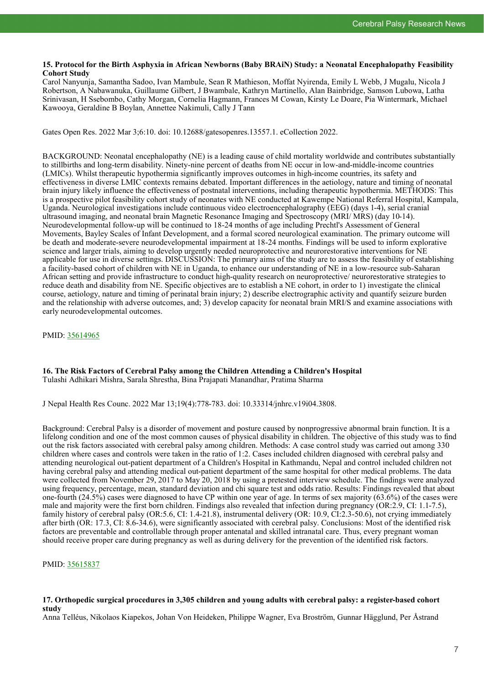#### **15. Protocol for the Birth Asphyxia in African Newborns (Baby BRAiN) Study: a Neonatal Encephalopathy Feasibility Cohort Study**

Carol Nanyunja, Samantha Sadoo, Ivan Mambule, Sean R Mathieson, Moffat Nyirenda, Emily L Webb, J Mugalu, Nicola J Robertson, A Nabawanuka, Guillaume Gilbert, J Bwambale, Kathryn Martinello, Alan Bainbridge, Samson Lubowa, Latha Srinivasan, H Ssebombo, Cathy Morgan, Cornelia Hagmann, Frances M Cowan, Kirsty Le Doare, Pia Wintermark, Michael Kawooya, Geraldine B Boylan, Annettee Nakimuli, Cally J Tann

Gates Open Res. 2022 Mar 3;6:10. doi: 10.12688/gatesopenres.13557.1. eCollection 2022.

BACKGROUND: Neonatal encephalopathy (NE) is a leading cause of child mortality worldwide and contributes substantially to stillbirths and long-term disability. Ninety-nine percent of deaths from NE occur in low-and-middle-income countries (LMICs). Whilst therapeutic hypothermia significantly improves outcomes in high-income countries, its safety and effectiveness in diverse LMIC contexts remains debated. Important differences in the aetiology, nature and timing of neonatal brain injury likely influence the effectiveness of postnatal interventions, including therapeutic hypothermia. METHODS: This is a prospective pilot feasibility cohort study of neonates with NE conducted at Kawempe National Referral Hospital, Kampala, Uganda. Neurological investigations include continuous video electroencephalography (EEG) (days 1-4), serial cranial ultrasound imaging, and neonatal brain Magnetic Resonance Imaging and Spectroscopy (MRI/ MRS) (day 10-14). Neurodevelopmental follow-up will be continued to 18-24 months of age including Prechtl's Assessment of General Movements, Bayley Scales of Infant Development, and a formal scored neurological examination. The primary outcome will be death and moderate-severe neurodevelopmental impairment at 18-24 months. Findings will be used to inform explorative science and larger trials, aiming to develop urgently needed neuroprotective and neurorestorative interventions for NE applicable for use in diverse settings. DISCUSSION: The primary aims of the study are to assess the feasibility of establishing a facility-based cohort of children with NE in Uganda, to enhance our understanding of NE in a low-resource sub-Saharan African setting and provide infrastructure to conduct high-quality research on neuroprotective/ neurorestorative strategies to reduce death and disability from NE. Specific objectives are to establish a NE cohort, in order to 1) investigate the clinical course, aetiology, nature and timing of perinatal brain injury; 2) describe electrographic activity and quantify seizure burden and the relationship with adverse outcomes, and; 3) develop capacity for neonatal brain MRI/S and examine associations with early neurodevelopmental outcomes.

PMID: [35614965](https://pubmed.ncbi.nlm.nih.gov/35614965)

# **16. The Risk Factors of Cerebral Palsy among the Children Attending a Children's Hospital**

Tulashi Adhikari Mishra, Sarala Shrestha, Bina Prajapati Manandhar, Pratima Sharma

J Nepal Health Res Counc. 2022 Mar 13;19(4):778-783. doi: 10.33314/jnhrc.v19i04.3808.

Background: Cerebral Palsy is a disorder of movement and posture caused by nonprogressive abnormal brain function. It is a lifelong condition and one of the most common causes of physical disability in children. The objective of this study was to find out the risk factors associated with cerebral palsy among children. Methods: A case control study was carried out among 330 children where cases and controls were taken in the ratio of 1:2. Cases included children diagnosed with cerebral palsy and attending neurological out-patient department of a Children's Hospital in Kathmandu, Nepal and control included children not having cerebral palsy and attending medical out-patient department of the same hospital for other medical problems. The data were collected from November 29, 2017 to May 20, 2018 by using a pretested interview schedule. The findings were analyzed using frequency, percentage, mean, standard deviation and chi square test and odds ratio. Results: Findings revealed that about one-fourth (24.5%) cases were diagnosed to have CP within one year of age. In terms of sex majority (63.6%) of the cases were male and majority were the first born children. Findings also revealed that infection during pregnancy (OR:2.9, CI: 1.1-7.5), family history of cerebral palsy (OR:5.6, CI: 1.4-21.8), instrumental delivery (OR: 10.9, CI:2.3-50.6), not crying immediately after birth (OR: 17.3, CI: 8.6-34.6), were significantly associated with cerebral palsy. Conclusions: Most of the identified risk factors are preventable and controllable through proper antenatal and skilled intranatal care. Thus, every pregnant woman should receive proper care during pregnancy as well as during delivery for the prevention of the identified risk factors.

PMID: [35615837](https://pubmed.ncbi.nlm.nih.gov/35615837)

### **17. Orthopedic surgical procedures in 3,305 children and young adults with cerebral palsy: a register-based cohort study**

Anna Telléus, Nikolaos Kiapekos, Johan Von Heideken, Philippe Wagner, Eva Broström, Gunnar Hägglund, Per Åstrand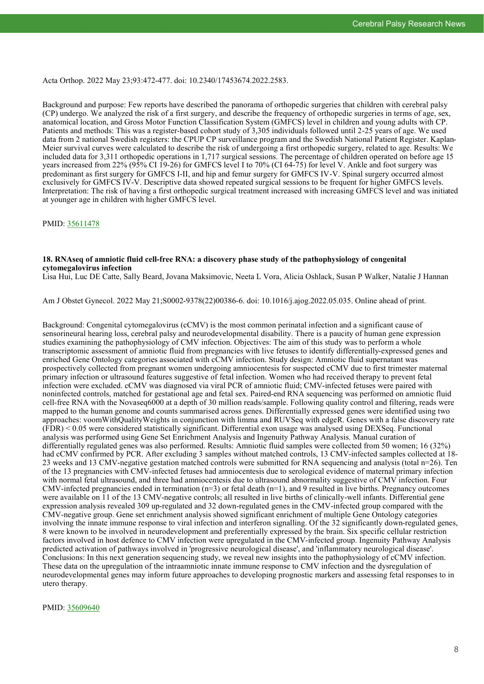Acta Orthop. 2022 May 23;93:472-477. doi: 10.2340/17453674.2022.2583.

Background and purpose: Few reports have described the panorama of orthopedic surgeries that children with cerebral palsy (CP) undergo. We analyzed the risk of a first surgery, and describe the frequency of orthopedic surgeries in terms of age, sex, anatomical location, and Gross Motor Function Classification System (GMFCS) level in children and young adults with CP. Patients and methods: This was a register-based cohort study of 3,305 individuals followed until 2-25 years of age. We used data from 2 national Swedish registers: the CPUP CP surveillance program and the Swedish National Patient Register. Kaplan-Meier survival curves were calculated to describe the risk of undergoing a first orthopedic surgery, related to age. Results: We included data for 3,311 orthopedic operations in 1,717 surgical sessions. The percentage of children operated on before age 15 years increased from 22% (95% CI 19-26) for GMFCS level I to 70% (CI 64-75) for level V. Ankle and foot surgery was predominant as first surgery for GMFCS I-II, and hip and femur surgery for GMFCS IV-V. Spinal surgery occurred almost exclusively for GMFCS IV-V. Descriptive data showed repeated surgical sessions to be frequent for higher GMFCS levels. Interpretation: The risk of having a first orthopedic surgical treatment increased with increasing GMFCS level and was initiated at younger age in children with higher GMFCS level.

PMID: [35611478](https://pubmed.ncbi.nlm.nih.gov/35611478)

#### **18. RNAseq of amniotic fluid cell-free RNA: a discovery phase study of the pathophysiology of congenital cytomegalovirus infection**

Lisa Hui, Luc DE Catte, Sally Beard, Jovana Maksimovic, Neeta L Vora, Alicia Oshlack, Susan P Walker, Natalie J Hannan

Am J Obstet Gynecol. 2022 May 21;S0002-9378(22)00386-6. doi: 10.1016/j.ajog.2022.05.035. Online ahead of print.

Background: Congenital cytomegalovirus (cCMV) is the most common perinatal infection and a significant cause of sensorineural hearing loss, cerebral palsy and neurodevelopmental disability. There is a paucity of human gene expression studies examining the pathophysiology of CMV infection. Objectives: The aim of this study was to perform a whole transcriptomic assessment of amniotic fluid from pregnancies with live fetuses to identify differentially-expressed genes and enriched Gene Ontology categories associated with cCMV infection. Study design: Amniotic fluid supernatant was prospectively collected from pregnant women undergoing amniocentesis for suspected cCMV due to first trimester maternal primary infection or ultrasound features suggestive of fetal infection. Women who had received therapy to prevent fetal infection were excluded. cCMV was diagnosed via viral PCR of amniotic fluid; CMV-infected fetuses were paired with noninfected controls, matched for gestational age and fetal sex. Paired-end RNA sequencing was performed on amniotic fluid cell-free RNA with the Novaseq6000 at a depth of 30 million reads/sample. Following quality control and filtering, reads were mapped to the human genome and counts summarised across genes. Differentially expressed genes were identified using two approaches: voomWithQualityWeights in conjunction with limma and RUVSeq with edgeR. Genes with a false discovery rate (FDR) < 0.05 were considered statistically significant. Differential exon usage was analysed using DEXSeq. Functional analysis was performed using Gene Set Enrichment Analysis and Ingenuity Pathway Analysis. Manual curation of differentially regulated genes was also performed. Results: Amniotic fluid samples were collected from 50 women; 16 (32%) had cCMV confirmed by PCR. After excluding 3 samples without matched controls, 13 CMV-infected samples collected at 18-23 weeks and 13 CMV-negative gestation matched controls were submitted for RNA sequencing and analysis (total n=26). Ten of the 13 pregnancies with CMV-infected fetuses had amniocentesis due to serological evidence of maternal primary infection with normal fetal ultrasound, and three had amniocentesis due to ultrasound abnormality suggestive of CMV infection. Four CMV-infected pregnancies ended in termination ( $n=3$ ) or fetal death ( $n=1$ ), and 9 resulted in live births. Pregnancy outcomes were available on 11 of the 13 CMV-negative controls; all resulted in live births of clinically-well infants. Differential gene expression analysis revealed 309 up-regulated and 32 down-regulated genes in the CMV-infected group compared with the CMV-negative group. Gene set enrichment analysis showed significant enrichment of multiple Gene Ontology categories involving the innate immune response to viral infection and interferon signalling. Of the 32 significantly down-regulated genes, 8 were known to be involved in neurodevelopment and preferentially expressed by the brain. Six specific cellular restriction factors involved in host defence to CMV infection were upregulated in the CMV-infected group. Ingenuity Pathway Analysis predicted activation of pathways involved in 'progressive neurological disease', and 'inflammatory neurological disease'. Conclusions: In this next generation sequencing study, we reveal new insights into the pathophysiology of cCMV infection. These data on the upregulation of the intraamniotic innate immune response to CMV infection and the dysregulation of neurodevelopmental genes may inform future approaches to developing prognostic markers and assessing fetal responses to in utero therapy.